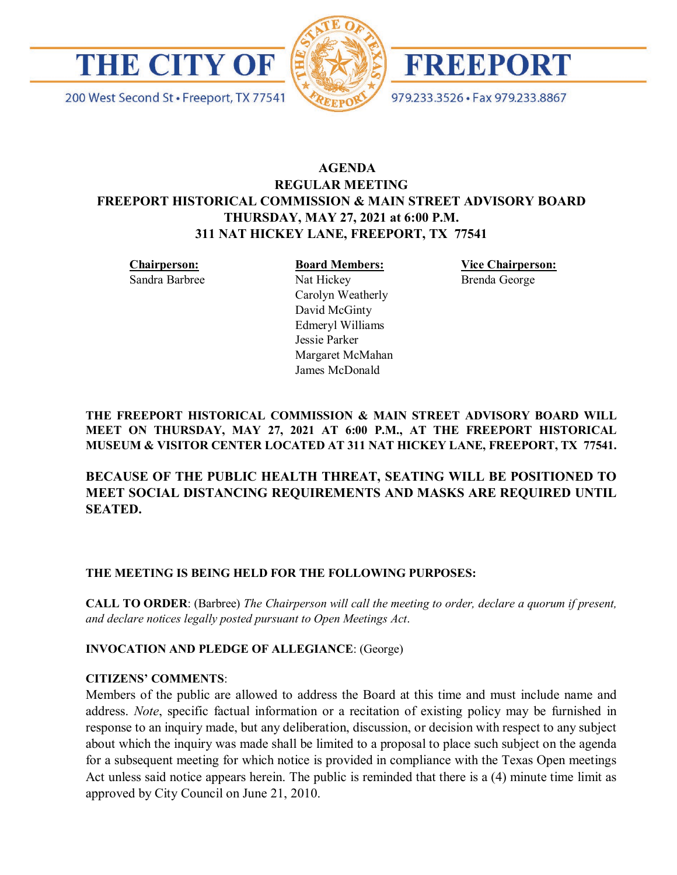

200 West Second St · Freeport, TX 77541





979.233.3526 · Fax 979.233.8867

# **AGENDA REGULAR MEETING FREEPORT HISTORICAL COMMISSION & MAIN STREET ADVISORY BOARD THURSDAY, MAY 27, 2021 at 6:00 P.M. 311 NAT HICKEY LANE, FREEPORT, TX 77541**

**Chairperson:**

Sandra Barbree

**Board Members:** Nat Hickey Carolyn Weatherly David McGinty Edmeryl Williams Jessie Parker Margaret McMahan James McDonald

**Vice Chairperson:** Brenda George

**THE FREEPORT HISTORICAL COMMISSION & MAIN STREET ADVISORY BOARD WILL MEET ON THURSDAY, MAY 27, 2021 AT 6:00 P.M., AT THE FREEPORT HISTORICAL MUSEUM & VISITOR CENTER LOCATED AT 311 NAT HICKEY LANE, FREEPORT, TX 77541.**

**BECAUSE OF THE PUBLIC HEALTH THREAT, SEATING WILL BE POSITIONED TO MEET SOCIAL DISTANCING REQUIREMENTS AND MASKS ARE REQUIRED UNTIL SEATED.** 

### **THE MEETING IS BEING HELD FOR THE FOLLOWING PURPOSES:**

**CALL TO ORDER**: (Barbree) *The Chairperson will call the meeting to order, declare a quorum if present, and declare notices legally posted pursuant to Open Meetings Act*.

### **INVOCATION AND PLEDGE OF ALLEGIANCE**: (George)

### **CITIZENS' COMMENTS**:

Members of the public are allowed to address the Board at this time and must include name and address. *Note*, specific factual information or a recitation of existing policy may be furnished in response to an inquiry made, but any deliberation, discussion, or decision with respect to any subject about which the inquiry was made shall be limited to a proposal to place such subject on the agenda for a subsequent meeting for which notice is provided in compliance with the Texas Open meetings Act unless said notice appears herein. The public is reminded that there is a (4) minute time limit as approved by City Council on June 21, 2010.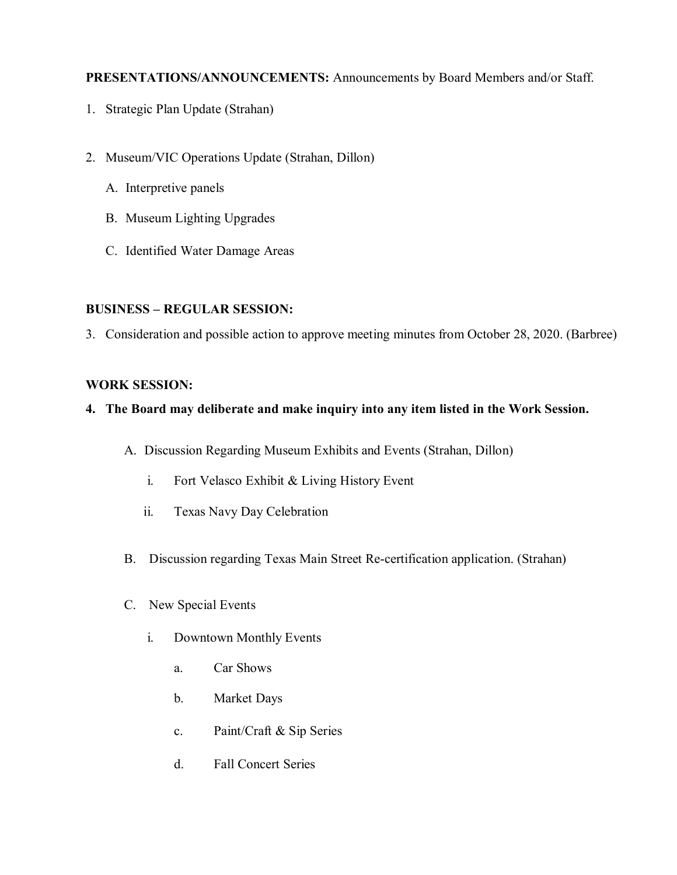## **PRESENTATIONS/ANNOUNCEMENTS:** Announcements by Board Members and/or Staff.

- 1. Strategic Plan Update (Strahan)
- 2. Museum/VIC Operations Update (Strahan, Dillon)
	- A. Interpretive panels
	- B. Museum Lighting Upgrades
	- C. Identified Water Damage Areas

## **BUSINESS – REGULAR SESSION:**

3. Consideration and possible action to approve meeting minutes from October 28, 2020. (Barbree)

# **WORK SESSION:**

# **4. The Board may deliberate and make inquiry into any item listed in the Work Session.**

- A. Discussion Regarding Museum Exhibits and Events (Strahan, Dillon)
	- i. Fort Velasco Exhibit & Living History Event
	- ii. Texas Navy Day Celebration
- B. Discussion regarding Texas Main Street Re-certification application. (Strahan)
- C. New Special Events
	- i. Downtown Monthly Events
		- a. Car Shows
		- b. Market Days
		- c. Paint/Craft & Sip Series
		- d. Fall Concert Series